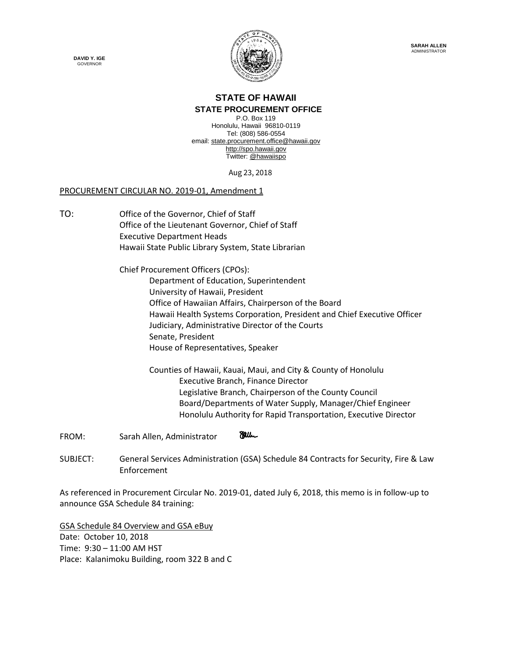



## **STATE OF HAWAII**

**STATE PROCUREMENT OFFICE** P.O. Box 119 Honolulu, Hawaii 96810-0119 Tel: (808) 586-0554 email[: state.procurement.office@hawaii.gov](mailto:state.procurement.office@hawaii.gov) [http://spo.hawaii.gov](http://spo.hawaii.gov/) Twitter: [@hawaiispo](https://twitter.com/hawaiispo)

Aug 23, 2018

## PROCUREMENT CIRCULAR NO. 2019-01, Amendment 1

TO: Office of the Governor, Chief of Staff Office of the Lieutenant Governor, Chief of Staff Executive Department Heads Hawaii State Public Library System, State Librarian

> Chief Procurement Officers (CPOs): Department of Education, Superintendent University of Hawaii, President Office of Hawaiian Affairs, Chairperson of the Board Hawaii Health Systems Corporation, President and Chief Executive Officer Judiciary, Administrative Director of the Courts Senate, President House of Representatives, Speaker

Counties of Hawaii, Kauai, Maui, and City & County of Honolulu Executive Branch, Finance Director Legislative Branch, Chairperson of the County Council Board/Departments of Water Supply, Manager/Chief Engineer Honolulu Authority for Rapid Transportation, Executive Director

**Ellen** FROM: Sarah Allen, Administrator

SUBJECT: General Services Administration (GSA) Schedule 84 Contracts for Security, Fire & Law Enforcement

As referenced in Procurement Circular No. 2019-01, dated July 6, 2018, this memo is in follow-up to announce GSA Schedule 84 training:

GSA Schedule 84 Overview and GSA eBuy Date: October 10, 2018 Time: 9:30 – 11:00 AM HST Place: Kalanimoku Building, room 322 B and C